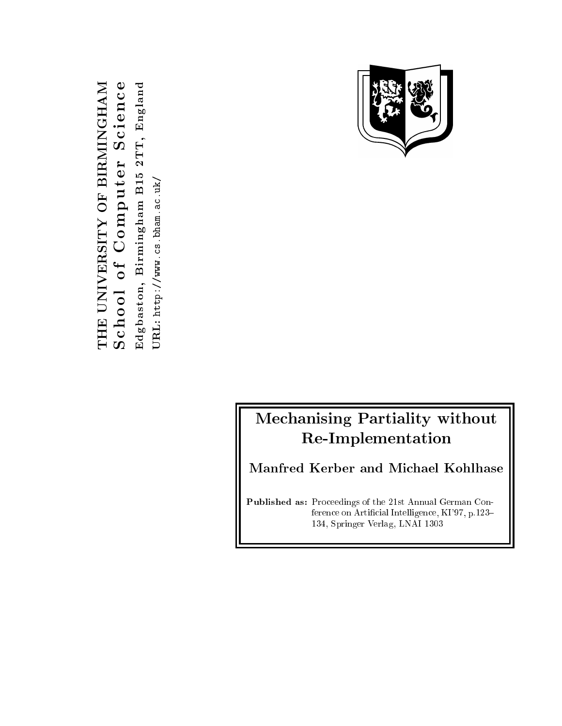THE UNIVERSITY OF BIRMINGHAM THE UNIVERSITY OF BIRMINGHAM eEdgba s ton , B i rm ingham B15 2TT , Eng land  $\mathbf \omega$  $\mathbf{u}$ c i e  $\boldsymbol{\sigma}$  $\mathord{\text{-}}$ e $\text{URL: http://www.cs.bham.ac.uk/}$ t $\Box$  $\mathbf{\Omega}$  $\bf \Omega$ o $\bigcirc$  $\leftharpoonup$  $\overline{0}$ o $\mathbf{r}$  $\mathbf \omega$  $\boldsymbol{\sigma}$ 

URL: http://www.cs.bham.ac.uk/



# Mechanising Partiality without Re-Implementation

Manfred Kerber and Michael Kohlhase

Published as: Proceedings of the 21st Annual German Conference on Artificial Intelligence, KI'97, p.123-134, Springer Verlag, LNAI 1303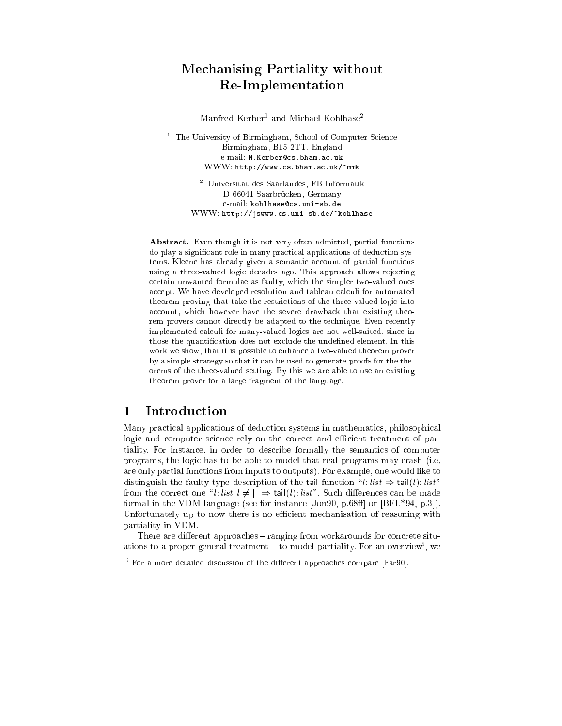## Mechanising Partiality without Re-Implementation

Manfred Kerber – and Michael Kohlnase

 $\overline{\phantom{a}}$ The University of Birmingham, School of Computer Science Birmingham, B15 2TT, England e-mail: M.Kerber@cs.bham.ac.uk WWW: http://www.cs.bham.ac.uk/~mmk

> <sup>2</sup> Universitat des Saarlandes, FB Informatik D-66041 Saarbrucken, Germany e-mail: kohlhase@cs.uni-sb.de WWW: http://jswww.cs.uni-sb.de/~kohlhase

Abstract. Even though it is not very often admitted, partial functions do play a signicant role in many practical applications of deduction systems. Kleene has already given a semantic account of partial functions using a three-valued logic decades ago. This approach allows rejecting certain unwanted formulae as faulty, which the simpler two-valued ones accept. We have developed resolution and tableau calculi for automated theorem proving that take the restrictions of the three-valued logic into account, which however have the severe drawback that existing theorem provers cannot directly be adapted to the technique. Even recently implemented calculi for many-valued logics are not well-suited, since in those the quantification does not exclude the undefined element. In this work we show, that it is possible to enhance a two-valued theorem prover by a simple strategy so that it can be used to generate proofs for the theorems of the three-valued setting. By this we are able to use an existing theorem prover for a large fragment of the language.

### Introduction  $\mathbf{1}$

Many practical applications of deduction systems in mathematics, philosophical logic and computer science rely on the correct and efficient treatment of partiality. For instance, in order to describe formally the semantics of computer programs, the logic has to be able to model that real programs may crash (i.e, are only partial functions from inputs to outputs). For example, one would like to distinguish the faulty type description of the tail function "l: list  $\Rightarrow$  tail(l): list" from the correct one "l: list  $l \neq [ ] \Rightarrow \text{tail}(l)$ : list". Such differences can be made formal in the VDM language (see for instance  $[Jon90, p.68ff]$  or  $[BFL*94, p.3]$ ). Unfortunately up to now there is no efficient mechanisation of reasoning with partiality in VDM.

There are different approaches  $-$  ranging from workarounds for concrete situations to a proper general treatment  $=$  to model partiality. For an overview , we

 $\,$  ror a more detailed discussion of the different approaches compare  $\,$  rar90 $\,$ l.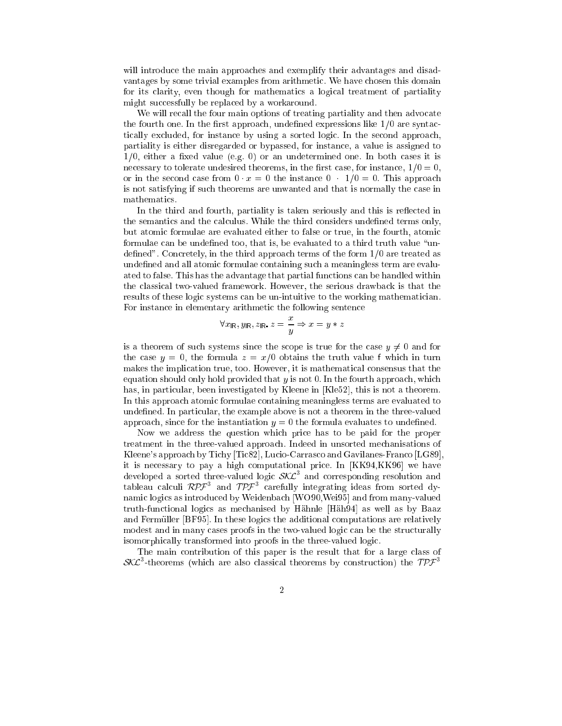will introduce the main approaches and exemplify their advantages and disadvantages by some trivial examples from arithmetic. We have chosen this domain for its clarity, even though for mathematics a logical treatment of partiality might successfully be replaced by a workaround.

We will recall the four main options of treating partiality and then advocate the fourth one. In the first approach, undefined expressions like  $1/0$  are syntactically excluded, for instance by using a sorted logic. In the second approach, partiality is either disregarded or bypassed, for instance, a value is assigned to  $1/0$ , either a fixed value (e.g. 0) or an undetermined one. In both cases it is necessary to tolerate undesired theorems, in the first case, for instance,  $1/0 = 0$ , or in the second case from  $0 \cdot x = 0$  the instance  $0 \cdot 1/0 = 0$ . This approach is not satisfying if such theorems are unwanted and that is normally the case in mathematics.

In the third and fourth, partiality is taken seriously and this is reflected in the semantics and the calculus. While the third considers undefined terms only, but atomic formulae are evaluated either to false or true, in the fourth, atomic formulae can be undefined too, that is, be evaluated to a third truth value "undefined". Concretely, in the third approach terms of the form  $1/0$  are treated as undefined and all atomic formulae containing such a meaningless term are evaluated to false. This has the advantage that partial functions can be handled within the classical two-valued framework. However, the serious drawback is that the results of these logic systems can be un-intuitive to the working mathematician. For instance in elementary arithmetic the following sentence

$$
\forall x_{\rm IR}, y_{\rm IR}, z_{\rm IR}\ z=\frac{x}{y} \Rightarrow x=y*z
$$

is a theorem of such systems since the scope is true for the case  $y \neq 0$  and for the case  $y = 0$ , the formula  $z = x/0$  obtains the truth value f which in turn makes the implication true, too. However, it is mathematical consensus that the equation should only hold provided that  $y$  is not 0. In the fourth approach, which has, in particular, been investigated by Kleene in [Kle52], this is not a theorem. In this approach atomic formulae containing meaningless terms are evaluated to undefined. In particular, the example above is not a theorem in the three-valued approach, since for the instantiation  $y = 0$  the formula evaluates to undefined.

Now we address the question which price has to be paid for the proper treatment in the three-valued approach. Indeed in unsorted mechanisations of Kleene's approach by Tichy [Tic82], Lucio-Carrasco and Gavilanes-Franco [LG89], it is necessary to pay a high computational price. In [KK94,KK96] we have developed a sorted three-valued logic  $\delta \lambda L$  and corresponding resolution and<br>tableau calculi RPF<sup>3</sup> and TPF<sup>3</sup> carefully integrating ideas from sorted dynamic logics as introduced by Weidenbach [WO90,Wei95] and from many-valued truth-functional logics as mechanised by Hahnle [Hah94] as well as by Baaz and Fermuller [BF95]. In these logics the additional computations are relatively modest and in many cases proofs in the two-valued logic can be the structurally isomorphically transformed into proofs in the three-valued logic.

The main contribution of this paper is the result that for a large class of SA $\cal L$ -theorems (which are also classical theorems by construction) the TPF  $^+$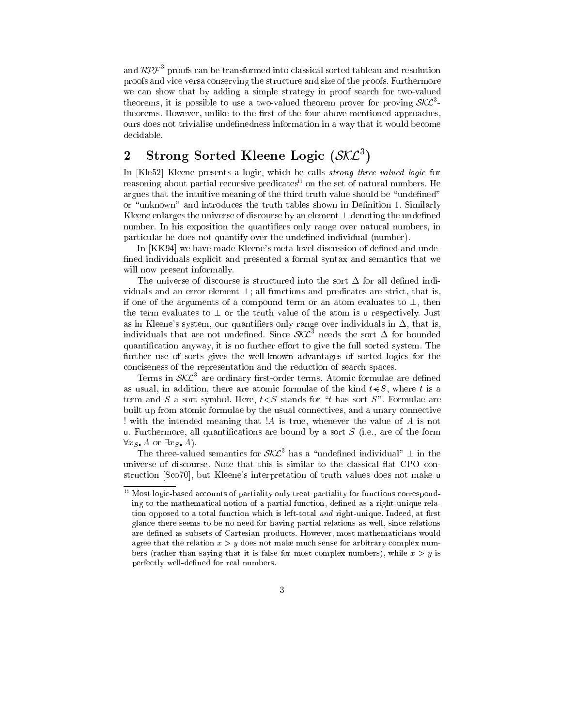and  $\kappa\nu$  proofs can be transformed into classical sorted tableau and resolution proofs and vice versa conserving the structure and size of the proofs. Furthermore we can show that by adding a simple strategy in proof search for two-valued theorems, it is possible to use a two-valued theorem prover for proving  $\mathcal{S\!L}$ theorems. However, unlike to the first of the four above-mentioned approaches, ours does not trivialise undenedness information in a way that it would become decidable.

### 2 Strong Sorted Kleene Logic (SAL)

In [Kle52] Kleene presents a logic, which he calls *strong three-valued logic* for reasoning about partial recursive predicatesii on the set of natural numbers. He argues that the intuitive meaning of the third truth value should be "undefined" or "unknown" and introduces the truth tables shown in Definition 1. Similarly Kleene enlarges the universe of discourse by an element  $\perp$  denoting the undefined number. In his exposition the quantifiers only range over natural numbers, in particular he does not quantify over the undefined individual (number).

In [KK94] we have made Kleene's meta-level discussion of defined and undefined individuals explicit and presented a formal syntax and semantics that we will now present informally.

The universe of discourse is structured into the sort  $\Delta$  for all defined individuals and an error element  $\perp$ ; all functions and predicates are strict, that is, if one of the arguments of a compound term or an atom evaluates to  $\perp$ , then the term evaluates to  $\perp$  or the truth value of the atom is u respectively. Just as in Kleene's system, our quantifiers only range over individuals in  $\Delta$ , that is, individuals that are not undefined. Since  $\mathcal{S}\mathcal{K}\mathcal{L}^+$  needs the sort  $\Delta$  for bounded quantification anyway, it is no further effort to give the full sorted system. The further use of sorts gives the well-known advantages of sorted logics for the conciseness of the representation and the reduction of search spaces.

Terms in SAL<sup>-</sup> are ordinary first-order terms. Atomic formulae are defined as usual, in addition, there are atomic formulae of the kind  $t \leq S$ , where t is a term and S a sort symbol. Here,  $t \leq S$  stands for "t has sort S". Formulae are built up from atomic formulae by the usual connectives, and a unary connective ! with the intended meaning that !A is true, whenever the value of A is not u. Furthermore, all quantifications are bound by a sort  $S$  (i.e., are of the form  $\forall x_S$  A or  $\exists x_S$  A).

I he three-valued semantics for  $S\Lambda L$ <sup>-</sup> has a "undefined individual"  $\perp$  in the universe of discourse. Note that this is similar to the classical flat CPO construction [Sco70], but Kleene's interpretation of truth values does not make <sup>u</sup>

ii Most logic-based accounts of partiality only treat partiality for functions corresponding to the mathematical notion of a partial function, defined as a right-unique relation opposed to a total function which is left-total and right-unique. Indeed, at first glance there seems to be no need for having partial relations as well, since relations are defined as subsets of Cartesian products. However, most mathematicians would agree that the relation  $x > y$  does not make much sense for arbitrary complex numbers (rather than saying that it is false for most complex numbers), while  $x > y$  is perfectly well-defined for real numbers.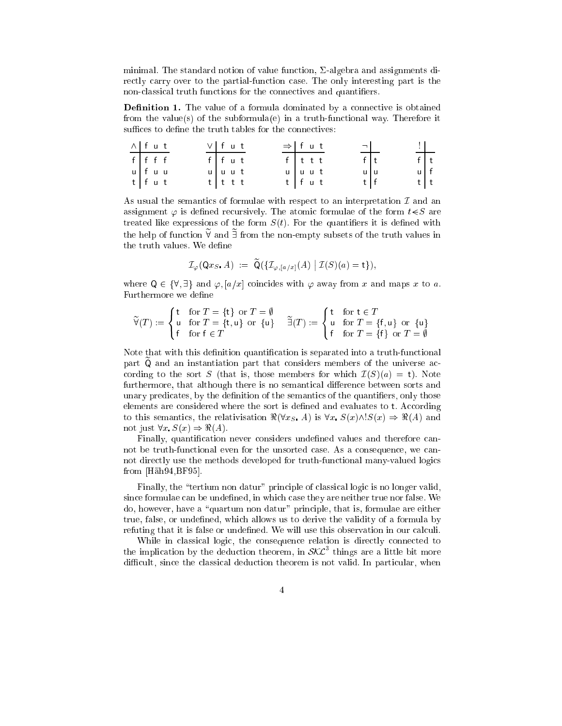minimal. The standard notion of value function,  $\Sigma$ -algebra and assignments directly carry over to the partial-function case. The only interesting part is the non-classical truth functions for the connectives and quantifiers.

Denition 1. The value of a formula dominated by a connective is obtained from the value(s) of the subformula(e) in a truth-functional way. Therefore it suffices to define the truth tables for the connectives:

| $\wedge$ fut |  | $V$ fut     |  | $\Rightarrow$ fut |  | 그                 | $\div$                                 |  |
|--------------|--|-------------|--|-------------------|--|-------------------|----------------------------------------|--|
| $f$ $f$ $f$  |  | ffut        |  | $f$ ttt           |  | $\overline{f} _t$ |                                        |  |
| u fuu        |  | $u$   u u t |  | $u$   $u$ $u$ t   |  | u u               | $\begin{vmatrix} 1 \\ 0 \end{vmatrix}$ |  |
| tfut         |  | $t$ t t t   |  | $t$ fut           |  | $t \mid f$        |                                        |  |

As usual the semantics of formulae with respect to an interpretation  $\mathcal I$  and an assignment  $\varphi$  is defined recursively. The atomic formulae of the form  $t \leq S$  are treated like expressions of the form  $S(t)$ . For the quantifiers it is defined with the help of function  $\widetilde{\mathcal{Y}}$  and  $\widetilde{\mathcal{I}}$  from the non-empty subsets of the truth values in the truth values. We define

$$
\mathcal{I}_{\varphi}(\mathsf{Q} x_S, A) := \widetilde{\mathsf{Q}}(\{\mathcal{I}_{\varphi,[a/x]}(A) \mid \mathcal{I}(S)(a) = \mathsf{t}\}),
$$

where  $Q \in {\forall, \exists}$  and  $\varphi$ ,  $[a/x]$  coincides with  $\varphi$  away from x and maps x to a. Furthermore we define

$$
\widetilde{\forall}(T) := \begin{cases} \mathbf{t} & \text{for } T = \{\mathbf{t}\} \text{ or } T = \emptyset \\ \mathbf{u} & \text{for } T = \{\mathbf{t}, \mathbf{u}\} \text{ or } \{\mathbf{u}\} \\ \mathbf{f} & \text{for } \mathbf{f} \in T \end{cases} \quad \widetilde{\exists}(T) := \begin{cases} \mathbf{t} & \text{for } \mathbf{t} \in T \\ \mathbf{u} & \text{for } T = \{\mathbf{f}, \mathbf{u}\} \text{ or } \{\mathbf{u}\} \\ \mathbf{f} & \text{for } T = \{\mathbf{f}\} \text{ or } T = \emptyset \end{cases}
$$

Note that with this definition quantification is separated into a truth-functional part  $\widetilde{Q}$  and an instantiation part that considers members of the universe according to the sort S (that is, those members for which  $\mathcal{I}(S)(a) = t$ ). Note furthermore, that although there is no semantical difference between sorts and unary predicates, by the definition of the semantics of the quantifiers, only those elements are considered where the sort is defined and evaluates to t. According to this semantics, the relativisation  $\Re(\forall x_S A)$  is  $\forall x S(x) \land S(x) \Rightarrow \Re(A)$  and not just  $\forall x \ S(x) \Rightarrow \Re(A)$ .

Finally, quantification never considers undefined values and therefore cannot be truth-functional even for the unsorted case. As a consequence, we cannot directly use the methods developed for truth-functional many-valued logics from [Hah94,BF95].

Finally, the "tertium non datur" principle of classical logic is no longer valid, since formulae can be undefined, in which case they are neither true nor false. We do, however, have a "quartum non datur" principle, that is, formulae are either true, false, or undefined, which allows us to derive the validity of a formula by refuting that it is false or undefined. We will use this observation in our calculi.

While in classical logic, the consequence relation is directly connected to the implication by the deduction theorem, in  $\mathcal{S}\mathcal{K}\mathcal{L}^+$  things are a little bit more difficult, since the classical deduction theorem is not valid. In particular, when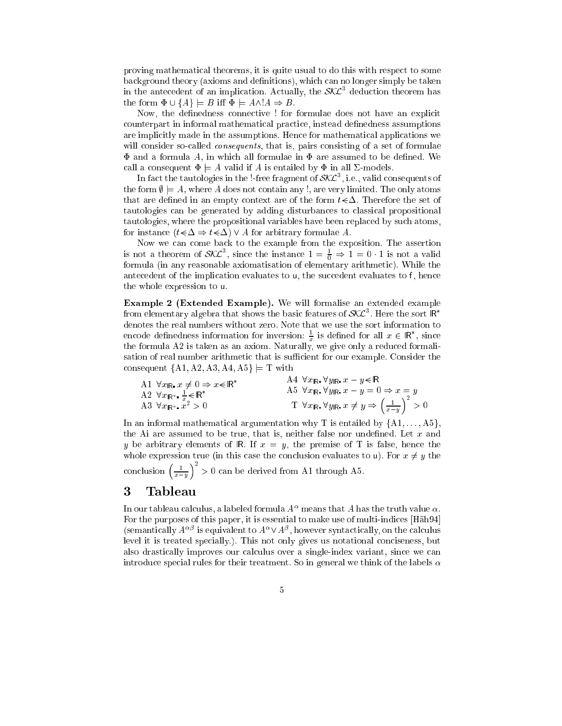proving mathematical theorems, it is quite usual to do this with respect to some background theory (axioms and definitions), which can no longer simply be taken in the antecedent of an implication. Actually, the  $\delta\Lambda\mathcal{L}_-$  deduction theorem has the form  $\Phi \cup \{A\} \models B$  iff  $\Phi \models A \wedge A \Rightarrow B$ .

Now, the denedness connective ! for formulae does not have an explicit counterpart in informal mathematical practice, instead definedness assumptions are implicitly made in the assumptions. Hence for mathematical applications we will consider so-called *consequents*, that is, pairs consisting of a set of formulae  $\Phi$  and a formula A, in which all formulae in  $\Phi$  are assumed to be defined. We call a consequent  $\Phi \models A$  valid if A is entailed by  $\Phi$  in all  $\Sigma$ -models.

In fact the tautologies in the !-free fragment of  $\mathcal{S\!N\!L}$  , i.e., valid consequents of the form  $\emptyset \models A$ , where A does not contain any !, are very limited. The only atoms that are defined in an empty context are of the form  $t \in \Delta$ . Therefore the set of tautologies can be generated by adding disturbances to classical propositional tautologies, where the propositional variables have been replaced by such atoms, for instance  $(t \leq \Delta \Rightarrow t \leq \Delta)$   $\vee$  A for arbitrary formulae A.

Now we can come back to the example from the exposition. The assertion is not a theorem of  $\mathcal{S}\mathcal{N}\mathcal{L}^{\dagger}$ , since the instance  $1 = \frac{1}{0} \Rightarrow 1 = 0 \cdot 1$  is not a valid formula (in any reasonable axiomatisation of elementary arithmetic). While the antecedent of the implication evaluates to  $\mu$ , the succedent evaluates to f, hence the whole expression to u.

Example <sup>2</sup> (Extended Example). We will formalise an extended example from elementary algebra that shows the basic features of  $\mathcal{S}\Lambda\mathcal{L}^+$  . Here the sort IR  $\,$ denotes the real numbers without zero. Note that we use the sort information to encode definedness information for inversion:  $\div$  is defined for all  $x\in$  IR , since the formula A2 is taken as an axiom. Naturally, we give only a reduced formalize only a reduced formalize only a reduced formalize  $\ell$ sation of real number arithmetic that is sufficient for our example. Consider the consequent  $\{A1, A2, A3, A4, A5\} \models T$  with

A1 
$$
\forall x_{\mathbb{R}}
$$
,  $x \neq 0 \Rightarrow x \leq \mathbb{R}^*$   
\nA2  $\forall x_{\mathbb{R}^*}$ ,  $\frac{1}{x} \leq \mathbb{R}^*$   
\nA3  $\forall x_{\mathbb{R}^*}$ ,  $x \geq 0$   
\nA4  $\forall x_{\mathbb{R}^*}$   $\forall y_{\mathbb{R}^*}$ ,  $x = y \leq \mathbb{R}$   
\nA5  $\forall x_{\mathbb{R}^*}$   $\forall y_{\mathbb{R}^*}$ ,  $x = y = 0 \Rightarrow x = y$   
\nT  $\forall x_{\mathbb{R}^*}$   $\forall y_{\mathbb{R}^*}$ ,  $x \neq y \Rightarrow \left(\frac{1}{x-y}\right)^2 > 0$ 

In an informal mathematical argumentation why T is entailed by  $\{A1, \ldots, A5\}$ , the Ai are assumed to be true, that is, neither false nor undefined. Let  $x$  and y be arbitrary elements of R. If  $x = y$ , the premise of T is false, hence the whole expression true (in this case the conclusion evaluates to u). For  $x \neq y$  the conclusion  $\left(\frac{1}{x-y}\right)$  $\int_{0}^{2}$  > 0 can be derived from A1 through A5.

### 3 Tableau

In our tableau calculus, a labeled formula  $A^{\alpha}$  means that A has the truth value  $\alpha$ . For the purposes of this paper, it is essential to make use of multi-indices [Häh94] (semantically  $A^{\alpha\beta}$  is equivalent to  $A^{\alpha} \vee A^{\beta}$ , however syntactically, on the calculus level it is treated specially.). This not only gives us notational conciseness, but also drastically improves our calculus over a single-index variant, since we can introduce special rules for their treatment. So in general we think of the labels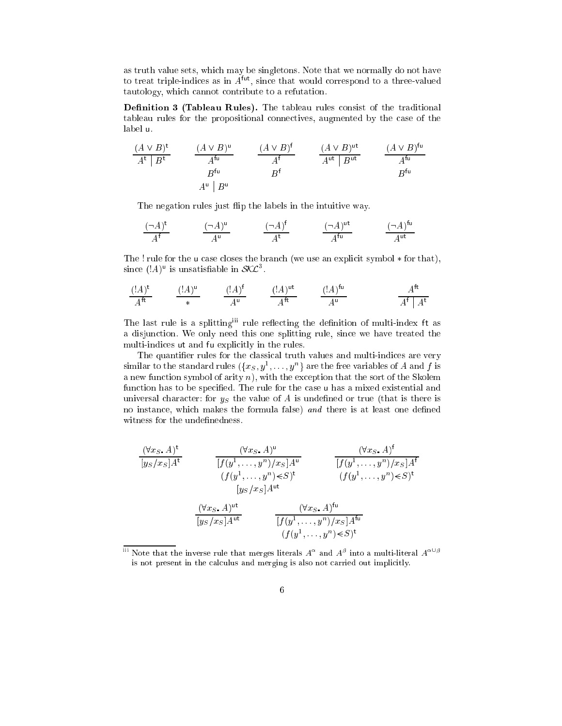as truth value sets, which may be singletons. Note that we normally do not have to treat triple-indices as in  $A<sup>tu</sup>$ , since that would correspond to a three-valued tautology, which cannot contribute to a refutation.

Denition <sup>3</sup> (Tableau Rules). The tableau rules consist of the traditional tableau rules for the propositional connectives, augmented by the case of the label u.

$$
\begin{array}{ccc}\n(A \vee B)^{\mathsf{t}} & (A \vee B)^{\mathsf{u}} \\
A^{\mathsf{t}} \mid B^{\mathsf{t}} & A^{\mathsf{f}\mathsf{u}} & A^{\mathsf{f}\mathsf{u}} \\
B^{\mathsf{f}\mathsf{u}} & B^{\mathsf{f}\mathsf{u}} & B^{\mathsf{f}\mathsf{u}} \\
A^{\mathsf{u}} \mid B^{\mathsf{u}} & B^{\mathsf{f}\mathsf{u}} & B^{\mathsf{f}\mathsf{u}} \\
A^{\mathsf{u}} \mid B^{\mathsf{u}} & B^{\mathsf{f}\mathsf{u}} & B^{\mathsf{f}\mathsf{u}}\n\end{array}
$$

The negation rules just flip the labels in the intuitive way.

$$
\frac{(\neg A)^{\mathsf{t}}}{A^{\mathsf{f}}} \qquad \qquad \frac{(\neg A)^{\mathsf{u}}}{A^{\mathsf{u}}} \qquad \qquad \frac{(\neg A)^{\mathsf{f}}}{A^{\mathsf{t}}} \qquad \qquad \frac{(\neg A)^{\mathsf{ut}}}{A^{\mathsf{tu}}} \qquad \qquad \frac{(\neg A)^{\mathsf{fu}}}{A^{\mathsf{ut}}}
$$

The ! rule for the u case closes the branch (we use an explicit symbol  $*$  for that), since  $(|A)$ <sup>u</sup> is unsatisfiable in  $\mathcal{SKL}^3$ .

$$
\frac{(\mathsf{!}A)^{\mathsf{t}}}{A^{\mathsf{ft}}} \qquad \frac{(\mathsf{!}A)^{\mathsf{u}}}{*} \qquad \frac{(\mathsf{!}A)^{\mathsf{f}}}{A^{\mathsf{u}}} \qquad \frac{(\mathsf{!}A)^{\mathsf{ut}}}{A^{\mathsf{ft}}} \qquad \frac{(\mathsf{!}A)^{\mathsf{fu}}}{A^{\mathsf{u}}} \qquad \frac{A^{\mathsf{ft}}}{A^{\mathsf{f}} \mid A^{\mathsf{t}}}
$$

The last rule is a splitting<sup>iii</sup> rule reflecting the definition of multi-index ft as a disjunction. We only need this one splitting rule, since we have treated the multi-indices ut and fu explicitly in the rules.

The quantifier rules for the classical truth values and multi-indices are very similar to the standard rules  $(\{x_S, y^1, \ldots, y^n\}$  are the free variables of A and f is a new function symbol of arity  $n$ ), with the exception that the sort of the Skolem function has to be specified. The rule for the case u has a mixed existential and universal character: for  $y<sub>S</sub>$  the value of A is undefined or true (that is there is no instance, which makes the formula false) and there is at least one defined witness for the undefinedness.

$$
\frac{(\forall x, A)^t}{[y_S/x_S]A^t} \qquad \frac{(\forall x, A)^u}{[f(y^1, \dots, y^n)/x_S]A^u} \qquad \frac{(\forall x, A)^t}{[f(y^1, \dots, y^n)/x_S]A^t}
$$
\n
$$
(f(y^1, \dots, y^n) \in S)^t \qquad (f(y^1, \dots, y^n) \in S)^t
$$
\n
$$
[y_S/x_S]A^{ut}
$$
\n
$$
\frac{(\forall x, A)^{ut}}{[y_S/x_S]A^{ut}} \qquad \frac{(\forall x, A)^{tu}}{[f(y^1, \dots, y^n)/x_S]A^{tu}}
$$
\n
$$
(f(y^1, \dots, y^n) \in S)^t
$$

 $^{\rm m}$  Note that the inverse rule that merges literals  $A^\alpha$  and  $A^\beta$  into a multi-literal  $A^{\alpha\cup\beta}$ is not present in the calculus and merging is also not carried out implicitly.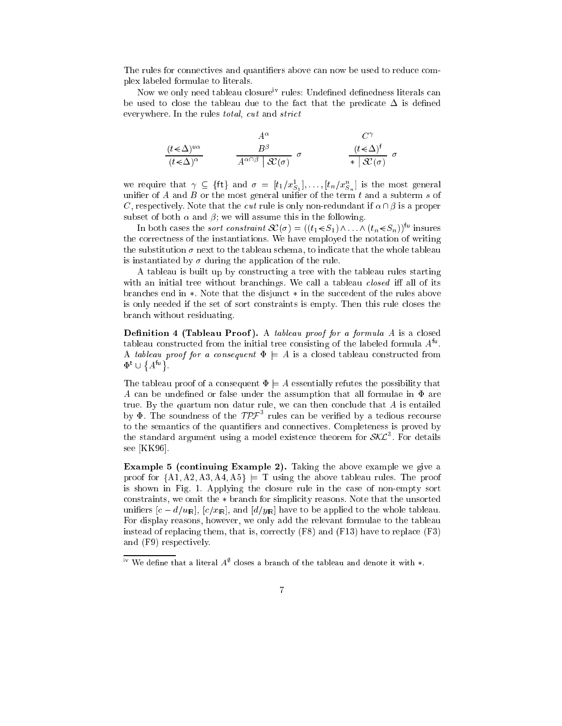The rules for connectives and quantifiers above can now be used to reduce complex labeled formulae to literals.

Now we only need tableau closure<sup>iv</sup> rules: Undefined definedness literals can be used to close the tableau due to the fact that the predicate  $\Delta$  is defined everywhere. In the rules total, cut and strict

$$
\frac{(t \le \Delta)^{u\alpha}}{(t \le \Delta)^{\alpha}} \qquad \qquad \frac{A^{\alpha}}{A^{\alpha \cap \beta} \mid \mathcal{K}(\sigma)} \quad \sigma \qquad \qquad \frac{(t \le \Delta)^f}{* \mid \mathcal{K}(\sigma)} \quad \sigma
$$

we require that  $\gamma \subseteq {\text{ft}}$  and  $\sigma = [t_1/x_{S_1}^1], \ldots, [t_n/x_{S_n}^n]$  is the most general unifier of A and B or the most general unifier of the term t and a subterm s of C, respectively. Note that the cut rule is only non-redundant if  $\alpha \cap \beta$  is a proper subset of both  $\alpha$  and  $\beta$ ; we will assume this in the following.

In both cases the *sort constraint*  $\mathcal{K}(\sigma) = ((t_1 \leq S_1) \land ... \land (t_n \leq S_n))$ <sup>fu</sup> insures the correctness of the instantiations. We have employed the notation of writing the substitution  $\sigma$  next to the tableau schema, to indicate that the whole tableau is instantiated by  $\sigma$  during the application of the rule.

A tableau is built up by constructing a tree with the tableau rules starting with an initial tree without branchings. We call a tableau *closed* iff all of its branches end in  $*$ . Note that the disjunct  $*$  in the succedent of the rules above is only needed if the set of sort constraints is empty. Then this rule closes the branch without residuating.

**Definition 4 (Tableau Proof).** A tableau proof for a formula A is a closed tableau constructed from the initial tree consisting of the labeled formula  $A^{tu}$ . A tableau proof for a consequent  $\Phi = A$  is a closed tableau constructed from  $\Psi$   $\cup$  ${A^{\mathsf{fu}}}$ .

The tableau proof of a consequent  $\Phi = A$  essentially refutes the possibility that A can be undefined or false under the assumption that all formulae in  $\Phi$  are true. By the quartum non datur rule, we can then conclude that  $A$  is entailed by  $\Psi$ . The soundness of the  $JPL$  rules can be verified by a tedious recourse to the semantics of the quantifiers and connectives. Completeness is proved by the standard argument using a model existence theorem for  $\mathcal{S}\mathcal{N}\mathcal{L}$  . For details see [KK96].

Example 5 (continuing  $E$  above example  $E$  above example we give a  $E$  above example we give a  $E$ proof for  $\{A1, A2, A3, A4, A5\} \models T$  using the above tableau rules. The proof is shown in Fig. 1. Applying the closure rule in the case of non-empty sort constraints, we omit the  $*$  branch for simplicity reasons. Note that the unsorted unifiers  $[c - d/u_{\rm R}]$ ,  $[c/x_{\rm R}]$ , and  $[d/y_{\rm R}]$  have to be applied to the whole tableau. For display reasons, however, we only add the relevant formulae to the tableau instead of replacing them, that is, correctly (F8) and (F13) have to replace (F3) and (F9) respectively.

 $\mathbf{u}^{\mathrm{v}}$  We define that a literal  $A^{\mathrm{v}}$  closes a branch of the tableau and denote it with  $\ast.$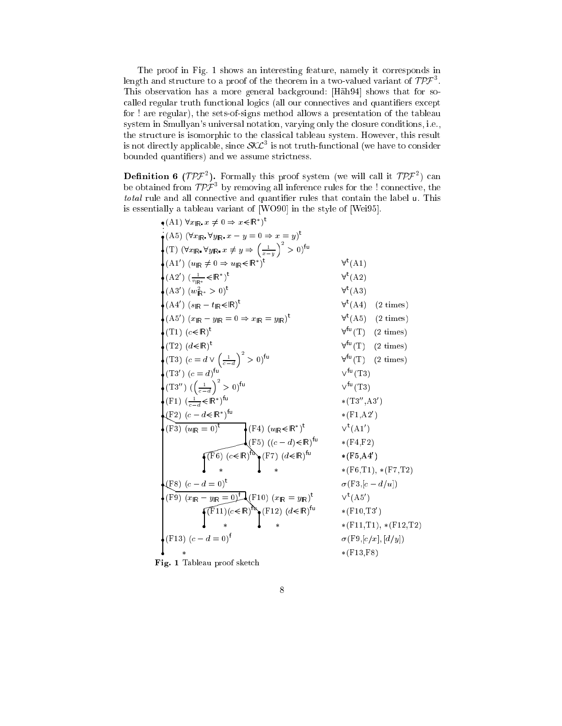The proof in Fig. 1 shows an interesting feature, namely it corresponds in length and structure to a proof of the theorem in a two-valued variant of  $T P J^{\dagger}$ . This observation has a more general background: [Häh94] shows that for socalled regular truth functional logics (all our connectives and quantifiers except for ! are regular), the sets-of-signs method allows a presentation of the tableau system in Smullyan's universal notation, varying only the closure conditions, i.e., the structure is isomorphic to the classical tableau system. However, this result is not directly applicable, since  $\mathcal{S}\mathcal{K}\mathcal{L}^{\pi}$  is not truth-functional (we have to consider bounded quantiers) and we assume strictness.

**Dennition 6** (TPF). Formally this proof system (we will call it TPF<sup>-</sup>) can<br>be obtained from  $TPF<sup>3</sup>$  by removing all inference rules for the ! connective, the total rule and all connective and quantier rules that contain the label u. This is essentially a tableau variant of [WO90] in the style of [Wei95].

| $(A1) \forall x_{\mathsf{IR}} x \neq 0 \Rightarrow x \in \mathsf{IR}^*$ <sup>t</sup>                                                                                 |                                                               |
|----------------------------------------------------------------------------------------------------------------------------------------------------------------------|---------------------------------------------------------------|
| $\bullet$ (A5) $(\forall x_{\mathsf{IR}} \ \forall y_{\mathsf{IR}} \ x - y = 0 \Rightarrow x = y)^{\mathsf{t}}$                                                      |                                                               |
| $\big\{\right(T) \ (\forall x_{\mathsf{IR}} \ \forall y_{\mathsf{IR}} \ x \neq y \Rightarrow \left(\frac{1}{x-y}\right)^2 > 0\big)^{\mathsf{fu}}\big\}$              |                                                               |
| $\bigstar(\mathrm{A1}^{\prime})$ $(u_{\mathbb{R}}\neq 0 \Rightarrow u_{\mathbb{R}}\in\mathbb{R}^*)^{\mathsf{t}}$                                                     | $\forall^{\text{t}}(A1)$                                      |
| $(A2') (\frac{1}{v_{\text{IR}*}} \leq R^*)^t$                                                                                                                        | $\forall^{\text{t}}(\text{A}2)$                               |
| $\bullet$ (A3') $(w_{\mathsf{IR}^*}^2 > 0)^{\mathsf{t}}$                                                                                                             | $\forall$ <sup>t</sup> (A3)                                   |
| $(A4') (s_{IR} - t_{IR} \le R)^t$                                                                                                                                    | $\forall^{\mathsf{t}}(A4) \quad (2 \text{ times})$            |
| $( \mathrm{A}5')$ $(x_{\mathbb{R}} - y_{\mathbb{R}} = 0 \Rightarrow x_{\mathbb{R}} = y_{\mathbb{R}} )^{\mathsf{t}}$                                                  | $\forall$ <sup>t</sup> (A5) (2 times)                         |
| $(\text{T1})~(c \in \mathbb{R})^{\text{t}}$                                                                                                                          | $\forall^{fu}(T)$ (2 times)                                   |
| $\left( T2 \right)$ $(d \leq R)^t$                                                                                                                                   | $\forall^{fu}(T)$ (2 times)                                   |
| (T3) $(c = d \vee \left(\frac{1}{c-d}\right)^2 > 0)^{f_u}$                                                                                                           | $\forall^{fu}(T)$ (2 times)                                   |
| $\left( T3^{\prime }\right) \, \left( c=d\right) ^{fu}$                                                                                                              | $V^{\text{fu}}(\text{T3})$                                    |
| $\left(\mathrm{T3''}\right)\,(\left(\frac{1}{c-d}\right)^2>0)^{\mathsf{fu}}$                                                                                         | $V^{\text{fu}}(\text{T3})$                                    |
| $(\text{F1})$ $\left(\frac{1}{c-d} \in \mathbb{R}^*\right)$ <sup>tu</sup>                                                                                            | $*(T3'', A3')$                                                |
| $(E^2)(c - d \in \mathbb{R}^*)^{\text{tu}}$                                                                                                                          | $*(F1, A2')$                                                  |
| (F3) $(u_{\mathsf{IR}} = 0)^{\mathsf{t}}$ $\qquad \qquad \big(\mathsf{F4}\big) \ (u_{\mathsf{IR}} \leq \mathsf{IR}^*)^{\mathsf{t}}$                                  | $V^{\mathsf{t}}(A1')$                                         |
| $\left(\text{F5}\right) \left((c-d)\in\mathbb{R}\right)^{\text{fu}}$                                                                                                 | $*(F4, F2)$                                                   |
| $\left(\sqrt{F6}\right)$ $(c \le R)^{\text{fb}}$ $\left(\text{F7}\right)$ $(d \le R)^{\text{fu}}$                                                                    | $*(F5, A4')$                                                  |
|                                                                                                                                                                      | $*(\mathrm{F6},\!\mathrm{T1}),\,*(\mathrm{F7},\!\mathrm{T2})$ |
| $(F8) (c - d = 0)^t$                                                                                                                                                 | $\sigma$ (F3,[c – d/u])                                       |
| $\Phi(\text{F9})\ (\overline{x_{\text{IR}}-y_{\text{IR}}=0)^{\text{f}}}$ (F10) $(x_{\text{IR}}=y_{\text{IR}})^{\text{t}}$                                            | $V^{\mathsf{t}}(A5')$                                         |
| $\left[\begin{matrix}\n\text{[F11]}(c \leq R)^\text{th} \\ \downarrow\n\end{matrix}\right]^{(F12)} \begin{matrix}\n(d \leq R)^\text{tu} \\ \downarrow\n\end{matrix}$ | $*(F10,T3')$                                                  |
|                                                                                                                                                                      | $*(F11,T1), *(F12,T2)$                                        |
| $(F13) (c-d=0)^f$                                                                                                                                                    | $\sigma$ (F9,[c/x], [d/y])                                    |
| *                                                                                                                                                                    | $*(F13,F8)$                                                   |

Fig. 1 Tableau proof sketch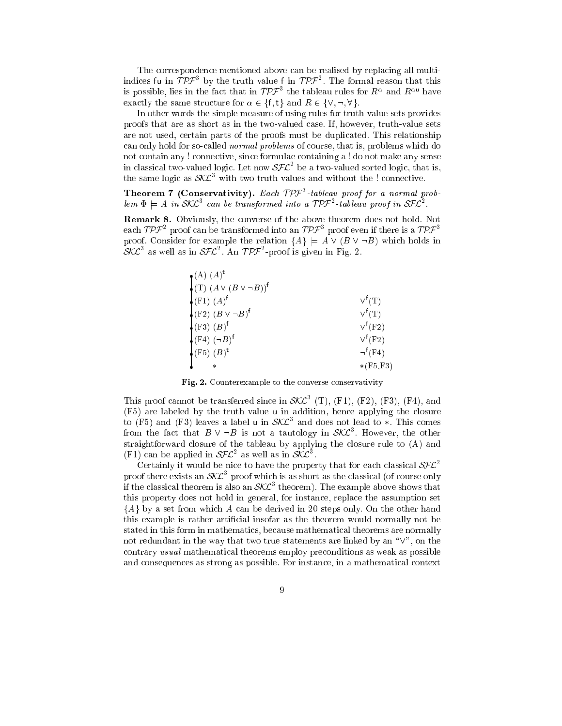The correspondence mentioned above can be realised by replacing all multiindices fu in TPF 3 by the truth value f in TPF . The formal reason that this is possible, lies in the fact that in  $\mathcal{TPF}^3$  the tableau rules for  $R^{\alpha}$  and  $R^{\alpha\mathsf{u}}$  have exactly the same structure for  $\alpha \in \{\mathsf{f}, \mathsf{t}\}\$  and  $R \in \{\vee, \neg, \forall\}.$ 

In other words the simple measure of using rules for truth-value sets provides proofs that are as short as in the two-valued case. If, however, truth-value sets are not used, certain parts of the proofs must be duplicated. This relationship can only hold for so-called normal problems of course, that is, problems which do not contain any ! connective, since formulae containing a ! do not make any sense in classical two-valued logic. Let now  $\mathcal{SFL}^-$  be a two-valued sorted logic, that is, the same logic as  $\delta\Lambda\mathcal{L}^+$  with two truth values and without the ! connective.

**Theorem 7 (Conservativity).** Each  $\mu$  F- $\tau$  -tableau proof for a normal problem  $\Phi = A$  in SKL<sup>3</sup> can be transformed into a TPF<sup>2</sup>-tableau proof in SFL<sup>2</sup>.

Remark 8. Obviously, the converse of the above theorem does not hold. Not each TPF  $^{\circ}$  proof can be transformed into an TPF  $^{\circ}$  proof even if there is a TPF  $^{\circ}$ proof. Consider for example the relation  $\{A\} \models A \vee (B \vee \neg B)$  which holds in  $SML$ <sup>-</sup> as well as in  $SFL$ <sup>-</sup>. An  $TPT$ -proof is given in Fig. 2.

| $\bullet$ (A) $(A)^t$                                          |                                  |
|----------------------------------------------------------------|----------------------------------|
| $\bigcirc$ (T) $(A \vee (B \vee \neg B))$ <sup>f</sup>         |                                  |
| $\left( \mathrm{F1}\right) \,\left( A\right) ^{\mathsf{f}}$    | $V^{\dagger}(T)$                 |
| $\left( \text{F2} \right) (B \vee \neg B)^f$                   | $V^{\mathsf{f}}(\mathrm{T})$     |
| $\bullet$ (F3) $(B)^f$                                         | $V^{\mathsf{f}}(\mathrm{F2})$    |
| $\left( \mathrm{F4}\right) \left( \neg B\right) ^{\mathrm{f}}$ | $V^{\mathsf{f}}(\mathrm{F2})$    |
| $\left(\text{F5}\right)\,\left(B\right)^{\text{t}}$            | $\neg^{\mathsf{f}}(\mathrm{F4})$ |
|                                                                | $*(F5,F3)$                       |

Fig. 2. Counterexample to the converse conservativity

I his proof cannot be transferred since in  $\delta \mathcal{L}^-(1)$ , (F1), (F2), (F3), (F4), and (F5) are labeled by the truth value <sup>u</sup> in addition, hence applying the closure to (F5) and (F3) leaves a label **u** in  $\mathcal{S}\Lambda\mathcal{L}^+$  and does not lead to  $*$ . Inis comes from the fact that  $B \vee \neg B$  is not a tautology in  $\mathcal{SKL}^3$ . However, the other straightforward closure of the tableau by applying the closure rule to (A) and (F<sub>1</sub>) can be applied in  $\delta F L$ <sup>-</sup> as well as in  $\delta L L$ <sup>-</sup>.

Certainly it would be nice to have the property that for each classical  $SFL^2$ proof there exists an  $\mathcal{S}\mathcal{A}\mathcal{L}$  -proof which is as short as the classical (of course only if the classical theorem is also an  $\mathcal{S\!L}$  theorem). The example above shows that this property does not hold in general, for instance, replace the assumption set  ${A}$  by a set from which A can be derived in 20 steps only. On the other hand this example is rather articial insofar as the theorem would normally not be stated in this form in mathematics, because mathematical theorems are normally not redundant in the way that two true statements are linked by an " $\vee$ ", on the contrary usual mathematical theorems employ preconditions as weak as possible and consequences as strong as possible. For instance, in a mathematical context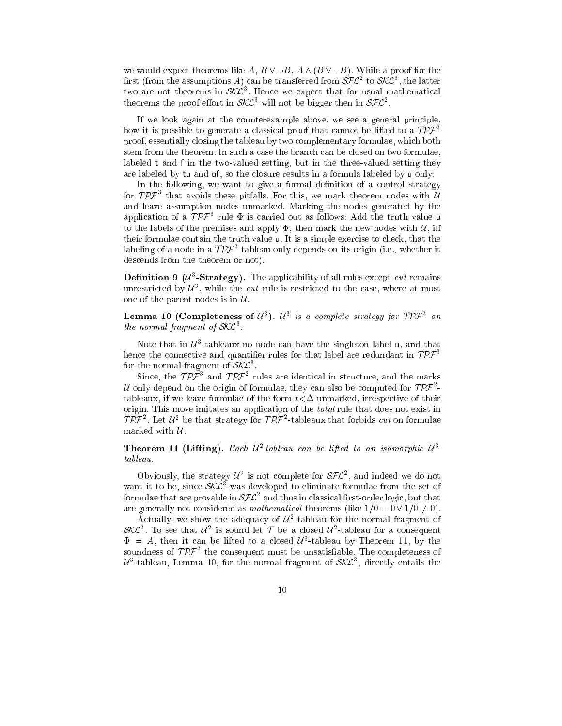we would expect theorems like A,  $B \vee \neg B$ ,  $A \wedge (B \vee \neg B)$ . While a proof for the first (from the assumptions A) can be transferred from  $\mathcal{SFL}^2$  to  $\mathcal{SKL}^3$ , the latter two are not theorems in  $\delta\lambda L$  . Hence we expect that for usual mathematical theorems the proof effort in  $\delta \mathcal{L}^+$  will not be bigger then in  $\delta \mathcal{L} \mathcal{L}^+$ .

If we look again at the counterexample above, we see a general principle, how it is possible to generate a classical proof that cannot be lifted to a  $TPF<sup>3</sup>$ proof, essentially closing the tableau by two complementary formulae, which both stem from the theorem. In such a case the branch can be closed on two formulae, labeled <sup>t</sup> and <sup>f</sup> in the two-valued setting, but in the three-valued setting they are labeled by tu and uf, so the closure results in a formula labeled by u only.

In the following, we want to give a formal definition of a control strategy for  $I$   $P$   $\tau$  –that avoids these pitfalls. For this, we mark theorem nodes with  $U$ and leave assumption nodes unmarked. Marking the nodes generated by the application of a  $\mu$ - $\tau$  rule  $\Phi$  is carried out as follows: Add the truth value  $\bm{\mathsf{u}}$ to the labels of the premises and apply  $\Phi$ , then mark the new nodes with  $\mathcal{U}$ , iff their formulae contain the truth value u. It is a simple exercise to check, that the labeling of a node in a  $I\overline{P}$  tableau only depends on its origin (i.e., whether it descends from the theorem or not).

**Definition 9** ( $U$ <sup>-</sup>-Strategy). The applicability of all rules except *cut* remains unrestricted by  $u$  , while the *cut* rule is restricted to the case, where at most one of the parent nodes is in  $\mathcal{U}$ .

**Lemma IU** (Completeness of  $\mathcal{U}^s$ ).  $\mathcal{U}^s$  is a complete strategy for  $\mathcal{U} \mathcal{V} \mathcal{F}^s$  on  $\it the \ norm$ al fragment of SNL $\,$  .

Note that in  $\mu$  -tableaux no node can have the singleton label  ${\mathsf u},$  and that hence the connective and quantifier rules for that label are redundant in  $\mathcal{TPF}^3$ for the normal fragment of  $\mathcal{S}\mathcal{N}\mathcal{L}^-.$ 

Since, the  $T P^{\prime}$  and  $T P^{\prime}$  rules are identical in structure, and the marks  $\mu$  only depend on the origin of formulae, they can also be computed for TPF  $^{\circ}$ tableaux, if we leave formulae of the form  $t \leq \Delta$  unmarked, irrespective of their origin. This move imitates an application of the total rule that does not exist in TPF Let  $u^2$  be that strategy for TPF-tableaux that forbids cut on formulae marked with  $\mathcal{U}$ .

**Theorem II (Lifting).** Each  $U_1$ -tableau can be lifted to an isomorphic  $U_1$ -

Obviously, the strategy  $u^2$  is not complete for  $\delta \mathcal{F} \mathcal{L}^2$ , and indeed we do not want it to be, since  $\delta\Lambda\mathcal{L}^+$  was developed to eliminate formulae from the set of formulae that are provable in  ${\cal SFL}^-$  and thus in classical first-order logic, but that are generally not considered as *mathematical* theorems (like  $1/0 = 0 \vee 1/0 \neq 0$ ).

Actually, we snow the adequacy of  $\mu$  -tableau for the normal fragment of SALT. To see that  $u^{\omega}$  is sound let for a closed  $u^{\omega}$ -tableau for a consequent  $\Phi = A$ , then it can be lifted to a closed  $\mathcal{U}^3$ -tableau by Theorem 11, by the soundness of  $T P^{\mu\nu}$  the consequent must be unsatisfiable. The completeness of  $\mathcal{U}$ °-tableau, Lemma 10, for the normal fragment of SAL $^\circ$ , directly entails the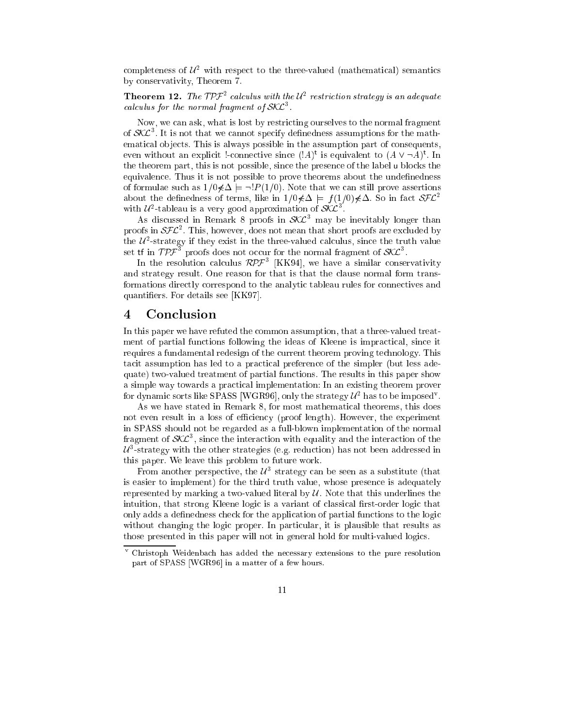completeness of  $\mu^-$  with respect to the three-valued (mathematical) semantics by conservativity, Theorem 7.

**Theorem 12.** The TPF calculus with the  $U^2$  restriction strategy is an adequate calculus for the normal fragment of  $\mathcal{S\!N\!L}$ .

Now, we can ask, what is lost by restricting ourselves to the normal fragment of  $\mathcal{S}\wedge\mathcal{L}$  . It is not that we cannot specify definedness assumptions for the mathematical objects. This is always possible in the assumption part of consequents, even without an explicit !-connective since  $(A)^t$  is equivalent to  $(A \vee \neg A)^t$ . In the theorem part, this is not possible, since the presence of the label <sup>u</sup> blocks the equivalence. Thus it is not possible to prove theorems about the undefinedness of formulae such as  $1/0 \notin \Delta \models \neg P(1/0)$ . Note that we can still prove assertions about the definedness of terms, like in  $1/0 \notin \Delta \models f(1/0) \notin \Delta$ . So in fact  $\mathcal{SFL}^2$ with  $U^*$ -tableau is a very good approximation of  $S\Lambda L^*$ .

As discussed in Remark 8 proofs in SAL<sup>-</sup> may be inevitably longer than proofs in  $\partial \mathcal{F} L$  . This, however, does not mean that short proofs are excluded by the  $u$  -strategy if they exist in the three-valued calculus, since the truth value set tr in  $\mu$   $\mu$  proofs does not occur for the normal fragment of SKL  $\,$  .

In the resolution calculus  $\mathcal{R}P\mathcal{F}^*$  [KK94], we have a similar conservativity and strategy result. One reason for that is that the clause normal form transformations directly correspond to the analytic tableau rules for connectives and quantiers. For details see [KK97].

#### 4 **Conclusion**

In this paper we have refuted the common assumption, that a three-valued treatment of partial functions following the ideas of Kleene is impractical, since it requires a fundamental redesign of the current theorem proving technology. This tacit assumption has led to a practical preference of the simpler (but less adequate) two-valued treatment of partial functions. The results in this paper show a simple way towards a practical implementation: In an existing theorem prover for dynamic sorts like SPASS [WGR90], only the strategy  $u^2$  has to be imposed  $\ldots$ 

As we have stated in Remark 8, for most mathematical theorems, this does not even result in a loss of efficiency (proof length). However, the experiment in SPASS should not be regarded as a full-blown implementation of the normal fragment of  $\mathcal{S}\Lambda\mathcal{L}^*$ , since the interaction with equality and the interaction of the  $\mu$  -strategy with the other strategies (e.g. reduction) has not been addressed in this paper. We leave this problem to future work.

From another perspective, the  $u$  -strategy can be seen as a substitute (that is easier to implement) for the third truth value, whose presence is adequately represented by marking a two-valued literal by  $\mathcal U$ . Note that this underlines the intuition, that strong Kleene logic is a variant of classical first-order logic that only adds a definedness check for the application of partial functions to the logic without changing the logic proper. In particular, it is plausible that results as those presented in this paper will not in general hold for multi-valued logics.

Christoph Weidenbach has added the necessary extensions to the pure resolution part of SPASS [WGR96] in a matter of a few hours.